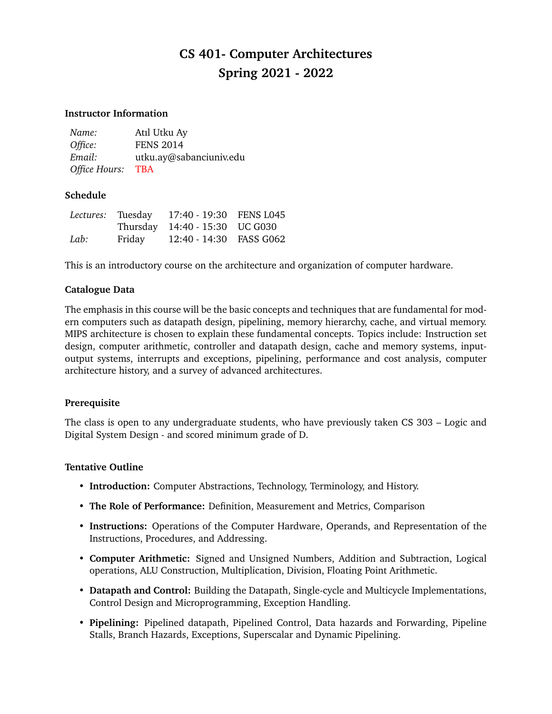# **CS 401- Computer Architectures Spring 2021 - 2022**

#### **Instructor Information**

| Name:         | Atıl Utku Ay            |
|---------------|-------------------------|
| Office:       | <b>FENS 2014</b>        |
| Email:        | utku.ay@sabanciuniv.edu |
| Office Hours: | <b>TBA</b>              |

## **Schedule**

|      | Lectures: Tuesday | 17:40 - 19:30 FENS L045        |  |
|------|-------------------|--------------------------------|--|
|      |                   | Thursday 14:40 - 15:30 UC G030 |  |
| Lab: | Friday            | 12:40 - 14:30 FASS G062        |  |

This is an introductory course on the architecture and organization of computer hardware.

## **Catalogue Data**

The emphasis in this course will be the basic concepts and techniques that are fundamental for modern computers such as datapath design, pipelining, memory hierarchy, cache, and virtual memory. MIPS architecture is chosen to explain these fundamental concepts. Topics include: Instruction set design, computer arithmetic, controller and datapath design, cache and memory systems, inputoutput systems, interrupts and exceptions, pipelining, performance and cost analysis, computer architecture history, and a survey of advanced architectures.

#### **Prerequisite**

The class is open to any undergraduate students, who have previously taken CS 303 – Logic and Digital System Design - and scored minimum grade of D.

#### **Tentative Outline**

- **Introduction:** Computer Abstractions, Technology, Terminology, and History.
- **The Role of Performance:** Definition, Measurement and Metrics, Comparison
- **Instructions:** Operations of the Computer Hardware, Operands, and Representation of the Instructions, Procedures, and Addressing.
- **Computer Arithmetic:** Signed and Unsigned Numbers, Addition and Subtraction, Logical operations, ALU Construction, Multiplication, Division, Floating Point Arithmetic.
- **Datapath and Control:** Building the Datapath, Single-cycle and Multicycle Implementations, Control Design and Microprogramming, Exception Handling.
- **Pipelining:** Pipelined datapath, Pipelined Control, Data hazards and Forwarding, Pipeline Stalls, Branch Hazards, Exceptions, Superscalar and Dynamic Pipelining.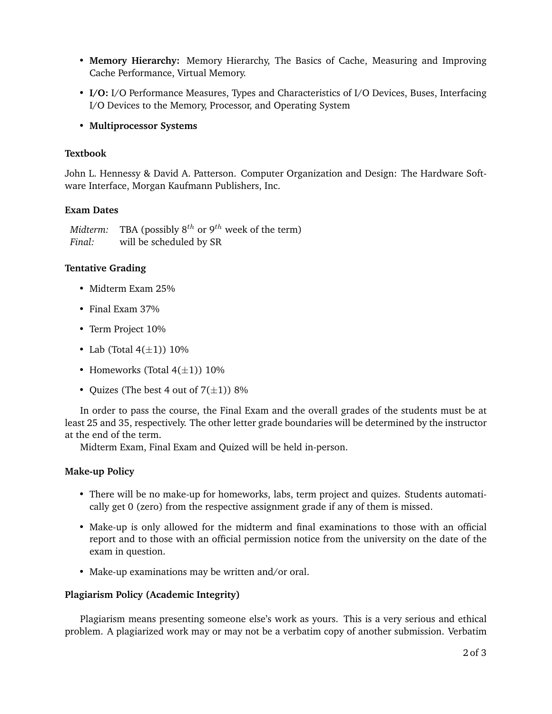- **Memory Hierarchy:** Memory Hierarchy, The Basics of Cache, Measuring and Improving Cache Performance, Virtual Memory.
- **I/O:** I/O Performance Measures, Types and Characteristics of I/O Devices, Buses, Interfacing I/O Devices to the Memory, Processor, and Operating System
- **Multiprocessor Systems**

## **Textbook**

John L. Hennessy & David A. Patterson. Computer Organization and Design: The Hardware Software Interface, Morgan Kaufmann Publishers, Inc.

## **Exam Dates**

*Midterm:* TBA (possibly  $8^{th}$  or  $9^{th}$  week of the term) *Final:* will be scheduled by SR

## **Tentative Grading**

- Midterm Exam 25%
- Final Exam 37%
- Term Project 10%
- Lab (Total  $4(\pm 1)$ ) 10%
- Homeworks (Total  $4(\pm 1)$ ) 10%
- Quizes (The best 4 out of  $7(\pm 1)$ ) 8%

In order to pass the course, the Final Exam and the overall grades of the students must be at least 25 and 35, respectively. The other letter grade boundaries will be determined by the instructor at the end of the term.

Midterm Exam, Final Exam and Quized will be held in-person.

## **Make-up Policy**

- There will be no make-up for homeworks, labs, term project and quizes. Students automatically get 0 (zero) from the respective assignment grade if any of them is missed.
- Make-up is only allowed for the midterm and final examinations to those with an official report and to those with an official permission notice from the university on the date of the exam in question.
- Make-up examinations may be written and/or oral.

#### **Plagiarism Policy (Academic Integrity)**

Plagiarism means presenting someone else's work as yours. This is a very serious and ethical problem. A plagiarized work may or may not be a verbatim copy of another submission. Verbatim